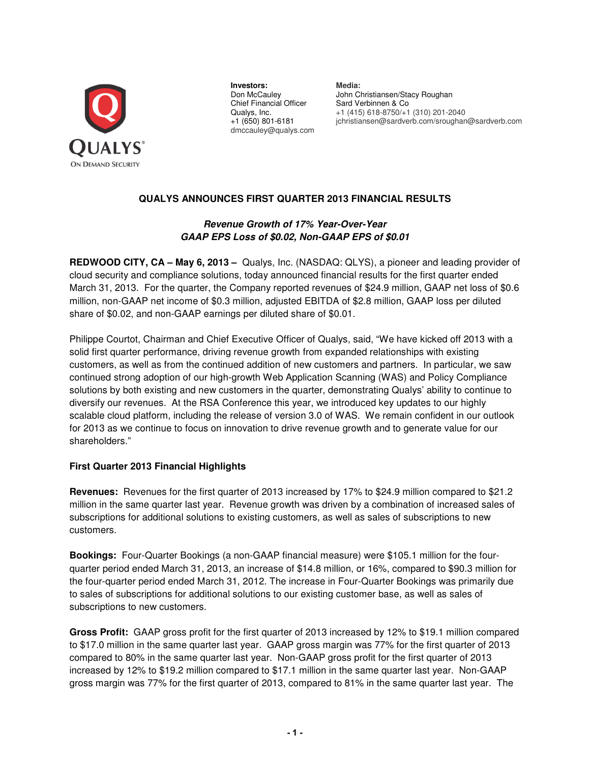

**Investors: Media: Don McCauley Algebra John Clare** Chief Financial Officer Sard Verbinnen & Co Qualys, Inc.<br> $+1$  (415) 618-8750/ $+1$ dmccauley@qualys.com

John Christiansen/Stacy Roughan Qualys, Inc. +1 (415) 618-8750/+1 (310) 201-2040 +1 (650) 801-6181 jchristiansen@sardverb.com/sroughan@sardverb.com

# **QUALYS ANNOUNCES FIRST QUARTER 2013 FINANCIAL RESULTS**

# **Revenue Growth of 17% Year-Over-Year GAAP EPS Loss of \$0.02, Non-GAAP EPS of \$0.01**

**REDWOOD CITY, CA – May 6, 2013 –** Qualys, Inc. (NASDAQ: QLYS), a pioneer and leading provider of cloud security and compliance solutions, today announced financial results for the first quarter ended March 31, 2013. For the quarter, the Company reported revenues of \$24.9 million, GAAP net loss of \$0.6 million, non-GAAP net income of \$0.3 million, adjusted EBITDA of \$2.8 million, GAAP loss per diluted share of \$0.02, and non-GAAP earnings per diluted share of \$0.01.

Philippe Courtot, Chairman and Chief Executive Officer of Qualys, said, "We have kicked off 2013 with a solid first quarter performance, driving revenue growth from expanded relationships with existing customers, as well as from the continued addition of new customers and partners. In particular, we saw continued strong adoption of our high-growth Web Application Scanning (WAS) and Policy Compliance solutions by both existing and new customers in the quarter, demonstrating Qualys' ability to continue to diversify our revenues. At the RSA Conference this year, we introduced key updates to our highly scalable cloud platform, including the release of version 3.0 of WAS. We remain confident in our outlook for 2013 as we continue to focus on innovation to drive revenue growth and to generate value for our shareholders."

# **First Quarter 2013 Financial Highlights**

**Revenues:** Revenues for the first quarter of 2013 increased by 17% to \$24.9 million compared to \$21.2 million in the same quarter last year. Revenue growth was driven by a combination of increased sales of subscriptions for additional solutions to existing customers, as well as sales of subscriptions to new customers.

**Bookings:** Four-Quarter Bookings (a non-GAAP financial measure) were \$105.1 million for the fourquarter period ended March 31, 2013, an increase of \$14.8 million, or 16%, compared to \$90.3 million for the four-quarter period ended March 31, 2012. The increase in Four-Quarter Bookings was primarily due to sales of subscriptions for additional solutions to our existing customer base, as well as sales of subscriptions to new customers.

**Gross Profit:** GAAP gross profit for the first quarter of 2013 increased by 12% to \$19.1 million compared to \$17.0 million in the same quarter last year. GAAP gross margin was 77% for the first quarter of 2013 compared to 80% in the same quarter last year. Non-GAAP gross profit for the first quarter of 2013 increased by 12% to \$19.2 million compared to \$17.1 million in the same quarter last year. Non-GAAP gross margin was 77% for the first quarter of 2013, compared to 81% in the same quarter last year. The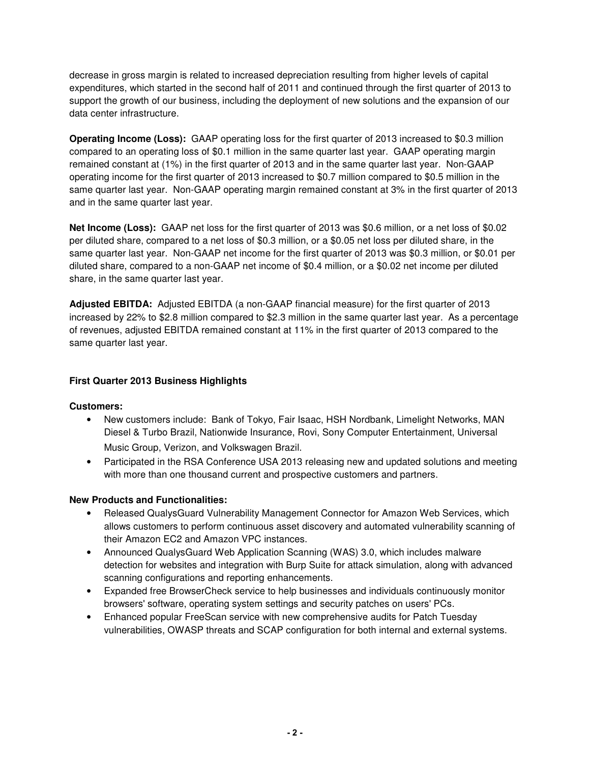decrease in gross margin is related to increased depreciation resulting from higher levels of capital expenditures, which started in the second half of 2011 and continued through the first quarter of 2013 to support the growth of our business, including the deployment of new solutions and the expansion of our data center infrastructure.

**Operating Income (Loss):** GAAP operating loss for the first quarter of 2013 increased to \$0.3 million compared to an operating loss of \$0.1 million in the same quarter last year. GAAP operating margin remained constant at (1%) in the first quarter of 2013 and in the same quarter last year. Non-GAAP operating income for the first quarter of 2013 increased to \$0.7 million compared to \$0.5 million in the same quarter last year. Non-GAAP operating margin remained constant at 3% in the first quarter of 2013 and in the same quarter last year.

**Net Income (Loss):** GAAP net loss for the first quarter of 2013 was \$0.6 million, or a net loss of \$0.02 per diluted share, compared to a net loss of \$0.3 million, or a \$0.05 net loss per diluted share, in the same quarter last year. Non-GAAP net income for the first quarter of 2013 was \$0.3 million, or \$0.01 per diluted share, compared to a non-GAAP net income of \$0.4 million, or a \$0.02 net income per diluted share, in the same quarter last year.

**Adjusted EBITDA:** Adjusted EBITDA (a non-GAAP financial measure) for the first quarter of 2013 increased by 22% to \$2.8 million compared to \$2.3 million in the same quarter last year. As a percentage of revenues, adjusted EBITDA remained constant at 11% in the first quarter of 2013 compared to the same quarter last year.

# **First Quarter 2013 Business Highlights**

## **Customers:**

- New customers include: Bank of Tokyo, Fair Isaac, HSH Nordbank, Limelight Networks, MAN Diesel & Turbo Brazil, Nationwide Insurance, Rovi, Sony Computer Entertainment, Universal Music Group, Verizon, and Volkswagen Brazil.
- Participated in the RSA Conference USA 2013 releasing new and updated solutions and meeting with more than one thousand current and prospective customers and partners.

## **New Products and Functionalities:**

- Released QualysGuard Vulnerability Management Connector for Amazon Web Services, which allows customers to perform continuous asset discovery and automated vulnerability scanning of their Amazon EC2 and Amazon VPC instances.
- Announced QualysGuard Web Application Scanning (WAS) 3.0, which includes malware detection for websites and integration with Burp Suite for attack simulation, along with advanced scanning configurations and reporting enhancements.
- Expanded free BrowserCheck service to help businesses and individuals continuously monitor browsers' software, operating system settings and security patches on users' PCs.
- Enhanced popular FreeScan service with new comprehensive audits for Patch Tuesday vulnerabilities, OWASP threats and SCAP configuration for both internal and external systems.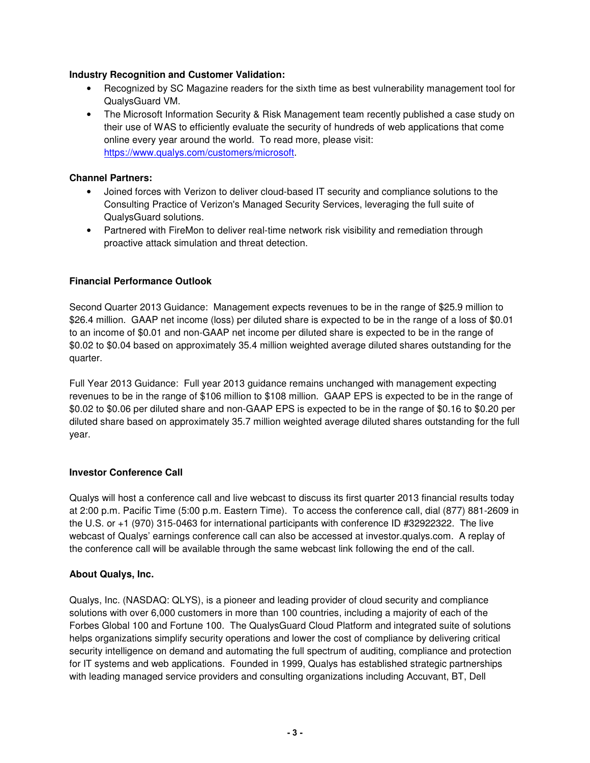## **Industry Recognition and Customer Validation:**

- Recognized by SC Magazine readers for the sixth time as best vulnerability management tool for QualysGuard VM.
- The Microsoft Information Security & Risk Management team recently published a case study on their use of WAS to efficiently evaluate the security of hundreds of web applications that come online every year around the world. To read more, please visit: https://www.qualys.com/customers/microsoft.

# **Channel Partners:**

- Joined forces with Verizon to deliver cloud-based IT security and compliance solutions to the Consulting Practice of Verizon's Managed Security Services, leveraging the full suite of QualysGuard solutions.
- Partnered with FireMon to deliver real-time network risk visibility and remediation through proactive attack simulation and threat detection.

# **Financial Performance Outlook**

Second Quarter 2013 Guidance: Management expects revenues to be in the range of \$25.9 million to \$26.4 million. GAAP net income (loss) per diluted share is expected to be in the range of a loss of \$0.01 to an income of \$0.01 and non-GAAP net income per diluted share is expected to be in the range of \$0.02 to \$0.04 based on approximately 35.4 million weighted average diluted shares outstanding for the quarter.

Full Year 2013 Guidance: Full year 2013 guidance remains unchanged with management expecting revenues to be in the range of \$106 million to \$108 million. GAAP EPS is expected to be in the range of \$0.02 to \$0.06 per diluted share and non-GAAP EPS is expected to be in the range of \$0.16 to \$0.20 per diluted share based on approximately 35.7 million weighted average diluted shares outstanding for the full year.

## **Investor Conference Call**

Qualys will host a conference call and live webcast to discuss its first quarter 2013 financial results today at 2:00 p.m. Pacific Time (5:00 p.m. Eastern Time). To access the conference call, dial (877) 881-2609 in the U.S. or +1 (970) 315-0463 for international participants with conference ID #32922322. The live webcast of Qualys' earnings conference call can also be accessed at investor.qualys.com. A replay of the conference call will be available through the same webcast link following the end of the call.

## **About Qualys, Inc.**

Qualys, Inc. (NASDAQ: QLYS), is a pioneer and leading provider of cloud security and compliance solutions with over 6,000 customers in more than 100 countries, including a majority of each of the Forbes Global 100 and Fortune 100. The QualysGuard Cloud Platform and integrated suite of solutions helps organizations simplify security operations and lower the cost of compliance by delivering critical security intelligence on demand and automating the full spectrum of auditing, compliance and protection for IT systems and web applications. Founded in 1999, Qualys has established strategic partnerships with leading managed service providers and consulting organizations including Accuvant, BT, Dell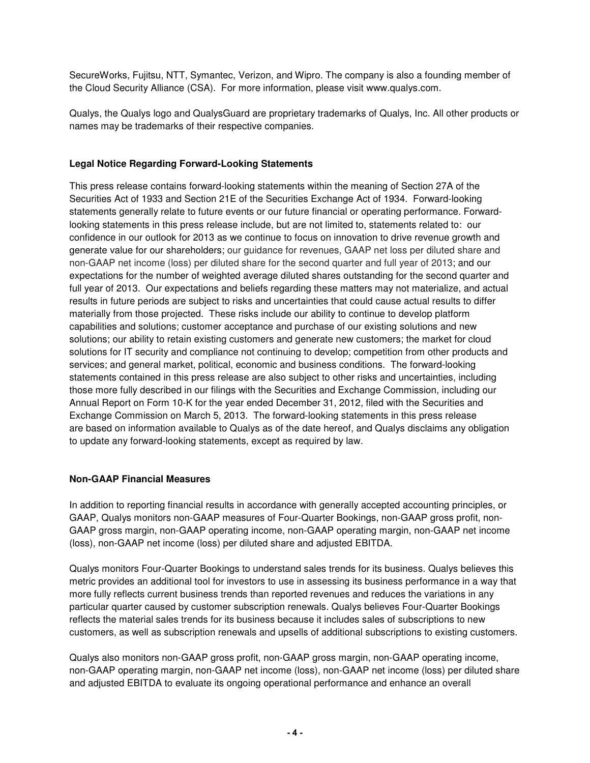SecureWorks, Fujitsu, NTT, Symantec, Verizon, and Wipro. The company is also a founding member of the Cloud Security Alliance (CSA). For more information, please visit www.qualys.com.

Qualys, the Qualys logo and QualysGuard are proprietary trademarks of Qualys, Inc. All other products or names may be trademarks of their respective companies.

# **Legal Notice Regarding Forward-Looking Statements**

This press release contains forward-looking statements within the meaning of Section 27A of the Securities Act of 1933 and Section 21E of the Securities Exchange Act of 1934. Forward-looking statements generally relate to future events or our future financial or operating performance. Forwardlooking statements in this press release include, but are not limited to, statements related to: our confidence in our outlook for 2013 as we continue to focus on innovation to drive revenue growth and generate value for our shareholders; our guidance for revenues, GAAP net loss per diluted share and non-GAAP net income (loss) per diluted share for the second quarter and full year of 2013; and our expectations for the number of weighted average diluted shares outstanding for the second quarter and full year of 2013. Our expectations and beliefs regarding these matters may not materialize, and actual results in future periods are subject to risks and uncertainties that could cause actual results to differ materially from those projected. These risks include our ability to continue to develop platform capabilities and solutions; customer acceptance and purchase of our existing solutions and new solutions; our ability to retain existing customers and generate new customers; the market for cloud solutions for IT security and compliance not continuing to develop; competition from other products and services; and general market, political, economic and business conditions. The forward-looking statements contained in this press release are also subject to other risks and uncertainties, including those more fully described in our filings with the Securities and Exchange Commission, including our Annual Report on Form 10-K for the year ended December 31, 2012, filed with the Securities and Exchange Commission on March 5, 2013. The forward-looking statements in this press release are based on information available to Qualys as of the date hereof, and Qualys disclaims any obligation to update any forward-looking statements, except as required by law.

## **Non-GAAP Financial Measures**

In addition to reporting financial results in accordance with generally accepted accounting principles, or GAAP, Qualys monitors non-GAAP measures of Four-Quarter Bookings, non-GAAP gross profit, non-GAAP gross margin, non-GAAP operating income, non-GAAP operating margin, non-GAAP net income (loss), non-GAAP net income (loss) per diluted share and adjusted EBITDA.

Qualys monitors Four-Quarter Bookings to understand sales trends for its business. Qualys believes this metric provides an additional tool for investors to use in assessing its business performance in a way that more fully reflects current business trends than reported revenues and reduces the variations in any particular quarter caused by customer subscription renewals. Qualys believes Four-Quarter Bookings reflects the material sales trends for its business because it includes sales of subscriptions to new customers, as well as subscription renewals and upsells of additional subscriptions to existing customers.

Qualys also monitors non-GAAP gross profit, non-GAAP gross margin, non-GAAP operating income, non-GAAP operating margin, non-GAAP net income (loss), non-GAAP net income (loss) per diluted share and adjusted EBITDA to evaluate its ongoing operational performance and enhance an overall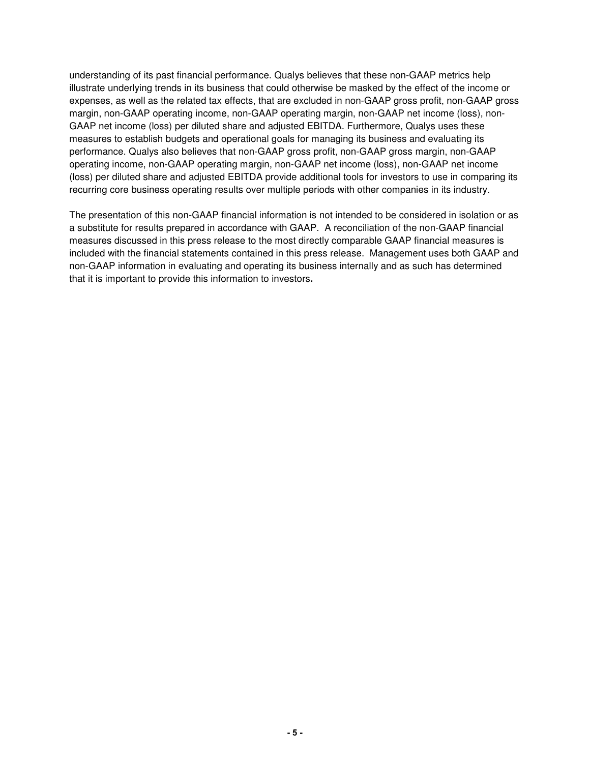understanding of its past financial performance. Qualys believes that these non-GAAP metrics help illustrate underlying trends in its business that could otherwise be masked by the effect of the income or expenses, as well as the related tax effects, that are excluded in non-GAAP gross profit, non-GAAP gross margin, non-GAAP operating income, non-GAAP operating margin, non-GAAP net income (loss), non-GAAP net income (loss) per diluted share and adjusted EBITDA. Furthermore, Qualys uses these measures to establish budgets and operational goals for managing its business and evaluating its performance. Qualys also believes that non-GAAP gross profit, non-GAAP gross margin, non-GAAP operating income, non-GAAP operating margin, non-GAAP net income (loss), non-GAAP net income (loss) per diluted share and adjusted EBITDA provide additional tools for investors to use in comparing its recurring core business operating results over multiple periods with other companies in its industry.

The presentation of this non-GAAP financial information is not intended to be considered in isolation or as a substitute for results prepared in accordance with GAAP. A reconciliation of the non-GAAP financial measures discussed in this press release to the most directly comparable GAAP financial measures is included with the financial statements contained in this press release. Management uses both GAAP and non-GAAP information in evaluating and operating its business internally and as such has determined that it is important to provide this information to investors**.**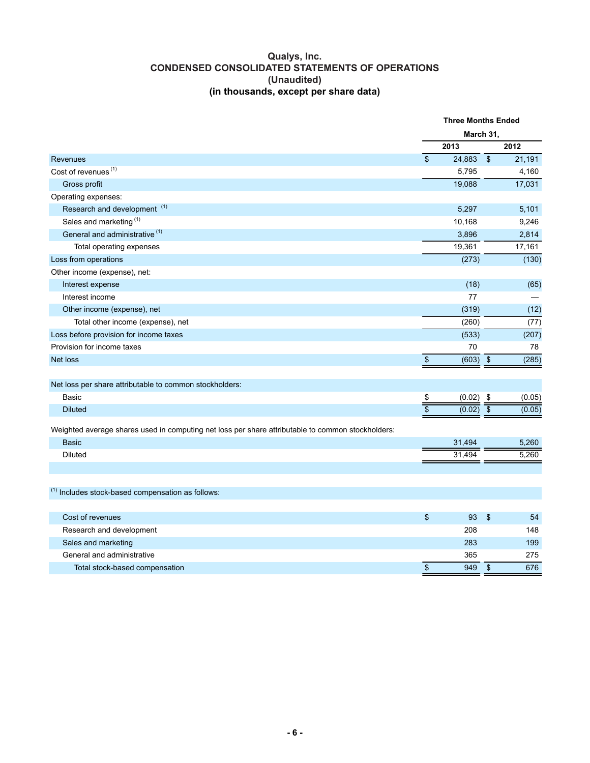### **Qualys, Inc. CONDENSED CONSOLIDATED STATEMENTS OF OPERATIONS (Unaudited) (in thousands, except per share data)**

|                                                                                                   |                          | <b>Three Months Ended</b> |                           |        |
|---------------------------------------------------------------------------------------------------|--------------------------|---------------------------|---------------------------|--------|
|                                                                                                   | March 31,                |                           |                           |        |
|                                                                                                   |                          | 2013                      |                           | 2012   |
| Revenues                                                                                          | $\overline{\mathcal{S}}$ | 24,883                    | $\overline{\mathcal{F}}$  | 21,191 |
| Cost of revenues <sup>(1)</sup>                                                                   |                          | 5,795                     |                           | 4,160  |
| Gross profit                                                                                      |                          | 19.088                    |                           | 17,031 |
| Operating expenses:                                                                               |                          |                           |                           |        |
| Research and development <sup>(1)</sup>                                                           |                          | 5,297                     |                           | 5,101  |
| Sales and marketing <sup>(1)</sup>                                                                |                          | 10,168                    |                           | 9,246  |
| General and administrative <sup>(1)</sup>                                                         |                          | 3,896                     |                           | 2,814  |
| Total operating expenses                                                                          |                          | 19,361                    |                           | 17,161 |
| Loss from operations                                                                              |                          | (273)                     |                           | (130)  |
| Other income (expense), net:                                                                      |                          |                           |                           |        |
| Interest expense                                                                                  |                          | (18)                      |                           | (65)   |
| Interest income                                                                                   |                          | 77                        |                           |        |
| Other income (expense), net                                                                       |                          | (319)                     |                           | (12)   |
| Total other income (expense), net                                                                 |                          | (260)                     |                           | (77)   |
| Loss before provision for income taxes                                                            |                          | (533)                     |                           | (207)  |
| Provision for income taxes                                                                        |                          | 70                        |                           | 78     |
| Net loss                                                                                          | $\boldsymbol{\$}$        | (603)                     | $\sqrt{3}$                | (285)  |
|                                                                                                   |                          |                           |                           |        |
| Net loss per share attributable to common stockholders:                                           |                          |                           |                           |        |
| Basic                                                                                             | \$                       | (0.02)                    | \$                        | (0.05) |
| <b>Diluted</b>                                                                                    | $\overline{\$}$          | (0.02)                    | $\overline{\$}$           | (0.05) |
|                                                                                                   |                          |                           |                           |        |
| Weighted average shares used in computing net loss per share attributable to common stockholders: |                          |                           |                           |        |
| <b>Basic</b>                                                                                      |                          | 31,494                    |                           | 5,260  |
| <b>Diluted</b>                                                                                    |                          | 31,494                    |                           | 5,260  |
|                                                                                                   |                          |                           |                           |        |
| $^{(1)}$ Includes stock-based compensation as follows:                                            |                          |                           |                           |        |
|                                                                                                   |                          |                           |                           |        |
| Cost of revenues                                                                                  | \$                       | 93                        | $\boldsymbol{\mathsf{S}}$ | 54     |
| Research and development                                                                          |                          | 208                       |                           | 148    |
| Sales and marketing                                                                               |                          | 283                       |                           | 199    |
| General and administrative                                                                        |                          | 365                       |                           | 275    |
| Total stock-based compensation                                                                    | \$                       | 949                       | $\sqrt{2}$                | 676    |
|                                                                                                   |                          |                           |                           |        |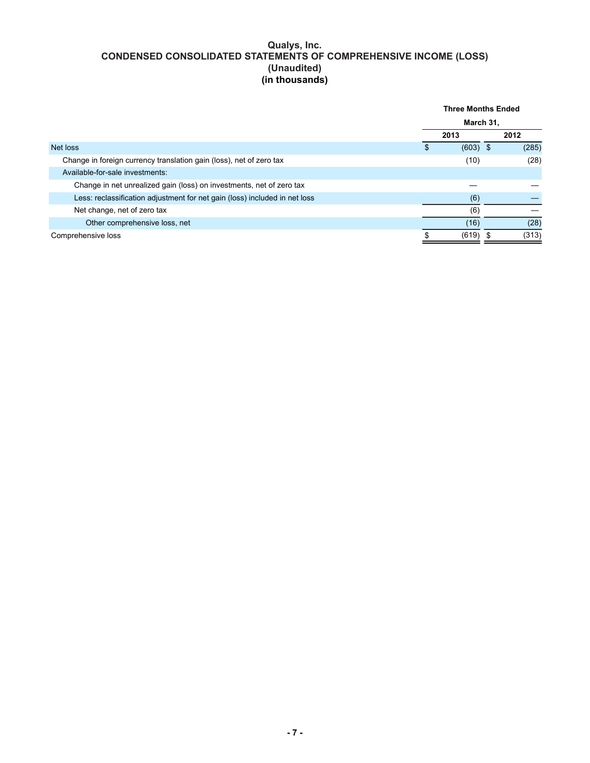### **Qualys, Inc. CONDENSED CONSOLIDATED STATEMENTS OF COMPREHENSIVE INCOME (LOSS) (Unaudited) (in thousands)**

|                                                                            | <b>Three Months Ended</b> |            |  |       |
|----------------------------------------------------------------------------|---------------------------|------------|--|-------|
|                                                                            | March 31,                 |            |  |       |
|                                                                            |                           | 2013       |  | 2012  |
| Net loss                                                                   |                           | $(603)$ \$ |  | (285) |
| Change in foreign currency translation gain (loss), net of zero tax        |                           | (10)       |  | (28)  |
| Available-for-sale investments:                                            |                           |            |  |       |
| Change in net unrealized gain (loss) on investments, net of zero tax       |                           |            |  |       |
| Less: reclassification adjustment for net gain (loss) included in net loss |                           | (6)        |  |       |
| Net change, net of zero tax                                                |                           | (6)        |  |       |
| Other comprehensive loss, net                                              |                           | (16)       |  | (28)  |
| Comprehensive loss                                                         |                           | (619)      |  | (313) |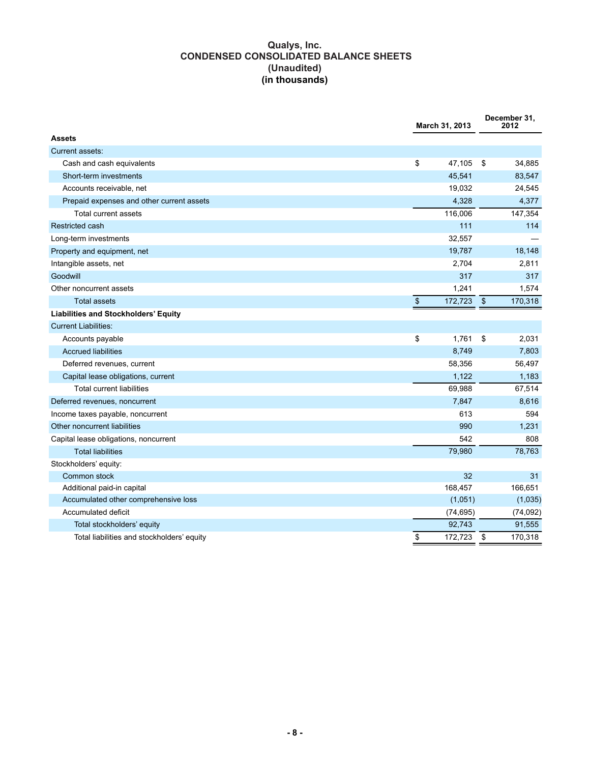## **Qualys, Inc. CONDENSED CONSOLIDATED BALANCE SHEETS (Unaudited) (in thousands)**

|                                            | March 31, 2013 |                           | December 31,<br>2012 |
|--------------------------------------------|----------------|---------------------------|----------------------|
| <b>Assets</b>                              |                |                           |                      |
| Current assets:                            |                |                           |                      |
| Cash and cash equivalents                  | \$<br>47,105   | \$                        | 34,885               |
| Short-term investments                     | 45,541         |                           | 83,547               |
| Accounts receivable, net                   | 19,032         |                           | 24,545               |
| Prepaid expenses and other current assets  | 4,328          |                           | 4,377                |
| <b>Total current assets</b>                | 116,006        |                           | 147,354              |
| Restricted cash                            | 111            |                           | 114                  |
| Long-term investments                      | 32,557         |                           |                      |
| Property and equipment, net                | 19,787         |                           | 18,148               |
| Intangible assets, net                     | 2,704          |                           | 2,811                |
| Goodwill                                   | 317            |                           | 317                  |
| Other noncurrent assets                    | 1,241          |                           | 1,574                |
| <b>Total assets</b>                        | \$<br>172,723  | $\boldsymbol{\mathsf{S}}$ | 170,318              |
| Liabilities and Stockholders' Equity       |                |                           |                      |
| <b>Current Liabilities:</b>                |                |                           |                      |
| Accounts payable                           | \$<br>1,761    | \$                        | 2,031                |
| <b>Accrued liabilities</b>                 | 8,749          |                           | 7,803                |
| Deferred revenues, current                 | 58,356         |                           | 56,497               |
| Capital lease obligations, current         | 1,122          |                           | 1,183                |
| <b>Total current liabilities</b>           | 69,988         |                           | 67,514               |
| Deferred revenues, noncurrent              | 7,847          |                           | 8,616                |
| Income taxes payable, noncurrent           | 613            |                           | 594                  |
| Other noncurrent liabilities               | 990            |                           | 1,231                |
| Capital lease obligations, noncurrent      | 542            |                           | 808                  |
| <b>Total liabilities</b>                   | 79,980         |                           | 78,763               |
| Stockholders' equity:                      |                |                           |                      |
| Common stock                               | 32             |                           | 31                   |
| Additional paid-in capital                 | 168,457        |                           | 166,651              |
| Accumulated other comprehensive loss       | (1,051)        |                           | (1,035)              |
| Accumulated deficit                        | (74, 695)      |                           | (74, 092)            |
| Total stockholders' equity                 | 92,743         |                           | 91,555               |
| Total liabilities and stockholders' equity | \$<br>172,723  | \$                        | 170,318              |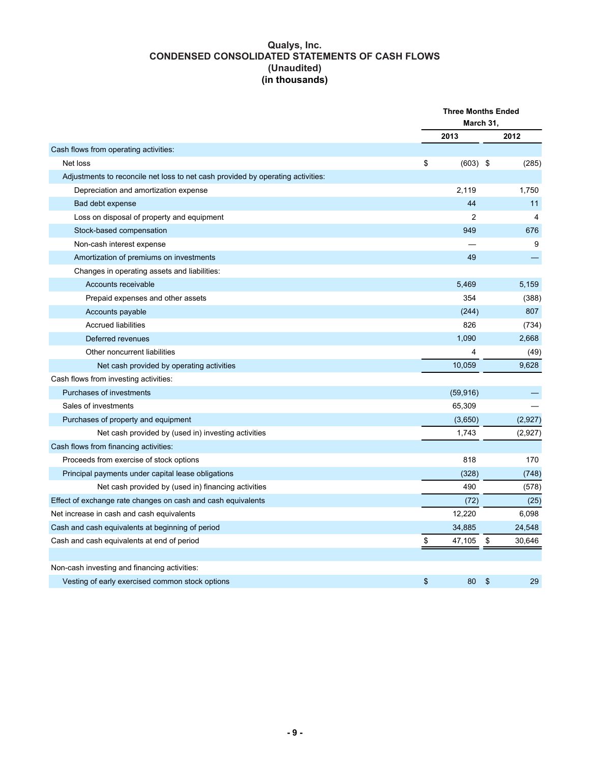### **Qualys, Inc. CONDENSED CONSOLIDATED STATEMENTS OF CASH FLOWS (Unaudited) (in thousands)**

|                                                                                 | <b>Three Months Ended</b><br>March 31, |    |         |
|---------------------------------------------------------------------------------|----------------------------------------|----|---------|
|                                                                                 | 2013                                   |    | 2012    |
| Cash flows from operating activities:                                           |                                        |    |         |
| Net loss                                                                        | \$<br>$(603)$ \$                       |    | (285)   |
| Adjustments to reconcile net loss to net cash provided by operating activities: |                                        |    |         |
| Depreciation and amortization expense                                           | 2,119                                  |    | 1,750   |
| Bad debt expense                                                                | 44                                     |    | 11      |
| Loss on disposal of property and equipment                                      | $\overline{2}$                         |    | 4       |
| Stock-based compensation                                                        | 949                                    |    | 676     |
| Non-cash interest expense                                                       |                                        |    | 9       |
| Amortization of premiums on investments                                         | 49                                     |    |         |
| Changes in operating assets and liabilities:                                    |                                        |    |         |
| Accounts receivable                                                             | 5,469                                  |    | 5,159   |
| Prepaid expenses and other assets                                               | 354                                    |    | (388)   |
| Accounts payable                                                                | (244)                                  |    | 807     |
| <b>Accrued liabilities</b>                                                      | 826                                    |    | (734)   |
| Deferred revenues                                                               | 1,090                                  |    | 2,668   |
| Other noncurrent liabilities                                                    | 4                                      |    | (49)    |
| Net cash provided by operating activities                                       | 10,059                                 |    | 9,628   |
| Cash flows from investing activities:                                           |                                        |    |         |
| Purchases of investments                                                        | (59, 916)                              |    |         |
| Sales of investments                                                            | 65,309                                 |    |         |
| Purchases of property and equipment                                             | (3,650)                                |    | (2,927) |
| Net cash provided by (used in) investing activities                             | 1.743                                  |    | (2,927) |
| Cash flows from financing activities:                                           |                                        |    |         |
| Proceeds from exercise of stock options                                         | 818                                    |    | 170     |
| Principal payments under capital lease obligations                              | (328)                                  |    | (748)   |
| Net cash provided by (used in) financing activities                             | 490                                    |    | (578)   |
| Effect of exchange rate changes on cash and cash equivalents                    | (72)                                   |    | (25)    |
| Net increase in cash and cash equivalents                                       | 12,220                                 |    | 6,098   |
| Cash and cash equivalents at beginning of period                                | 34,885                                 |    | 24,548  |
| Cash and cash equivalents at end of period                                      | \$<br>47,105                           | \$ | 30,646  |
|                                                                                 |                                        |    |         |
| Non-cash investing and financing activities:                                    |                                        |    |         |
| Vesting of early exercised common stock options                                 | \$<br>80                               | \$ | 29      |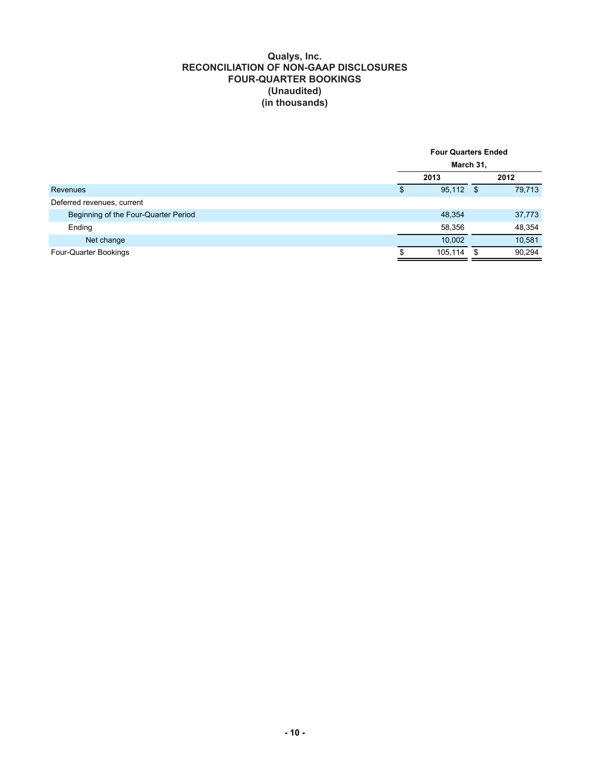#### **Qualys, Inc. RECONCILIATION OF NON-GAAP DISCLOSURES FOUR-QUARTER BOOKINGS (Unaudited) (in thousands)**

| March 31,<br>2013<br>2012<br>95,112 \$<br>Revenues<br>\$<br>Deferred revenues, current<br>Beginning of the Four-Quarter Period<br>48,354<br>Ending<br>58,356<br>10.002<br>Net change<br>105,114<br>Four-Quarter Bookings<br>- \$ |  | <b>Four Quarters Ended</b> |  |  |        |
|----------------------------------------------------------------------------------------------------------------------------------------------------------------------------------------------------------------------------------|--|----------------------------|--|--|--------|
|                                                                                                                                                                                                                                  |  |                            |  |  |        |
|                                                                                                                                                                                                                                  |  |                            |  |  |        |
|                                                                                                                                                                                                                                  |  |                            |  |  | 79,713 |
|                                                                                                                                                                                                                                  |  |                            |  |  |        |
|                                                                                                                                                                                                                                  |  |                            |  |  | 37,773 |
|                                                                                                                                                                                                                                  |  |                            |  |  | 48,354 |
|                                                                                                                                                                                                                                  |  |                            |  |  | 10,581 |
|                                                                                                                                                                                                                                  |  |                            |  |  | 90,294 |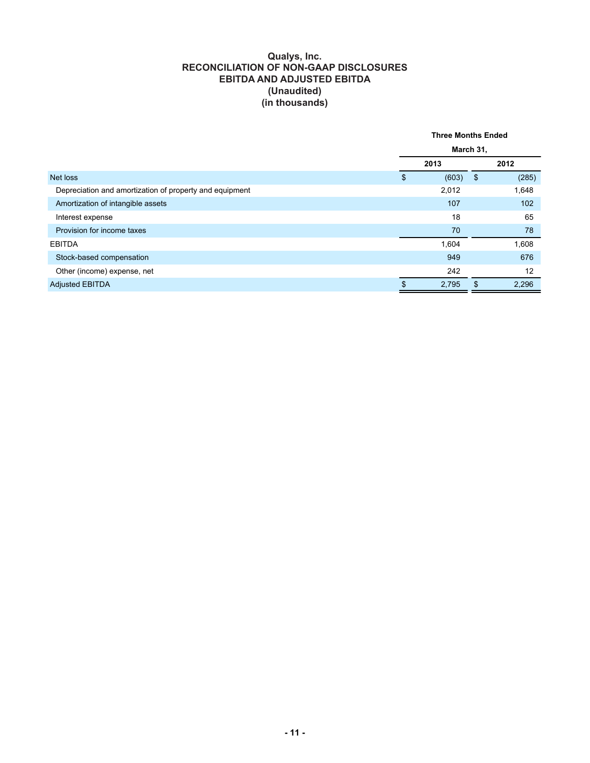#### **Qualys, Inc. RECONCILIATION OF NON-GAAP DISCLOSURES EBITDA AND ADJUSTED EBITDA (Unaudited) (in thousands)**

|                                                         | <b>Three Months Ended</b> |     |       |  |  |
|---------------------------------------------------------|---------------------------|-----|-------|--|--|
|                                                         | March 31,                 |     |       |  |  |
|                                                         | 2013                      |     | 2012  |  |  |
| Net loss                                                | \$<br>(603)               | -\$ | (285) |  |  |
| Depreciation and amortization of property and equipment | 2,012                     |     | 1,648 |  |  |
| Amortization of intangible assets                       | 107                       |     | 102   |  |  |
| Interest expense                                        | 18                        |     | 65    |  |  |
| Provision for income taxes                              | 70                        |     | 78    |  |  |
| <b>EBITDA</b>                                           | 1,604                     |     | 1,608 |  |  |
| Stock-based compensation                                | 949                       |     | 676   |  |  |
| Other (income) expense, net                             | 242                       |     | 12    |  |  |
| <b>Adjusted EBITDA</b>                                  | \$<br>2,795               | \$  | 2,296 |  |  |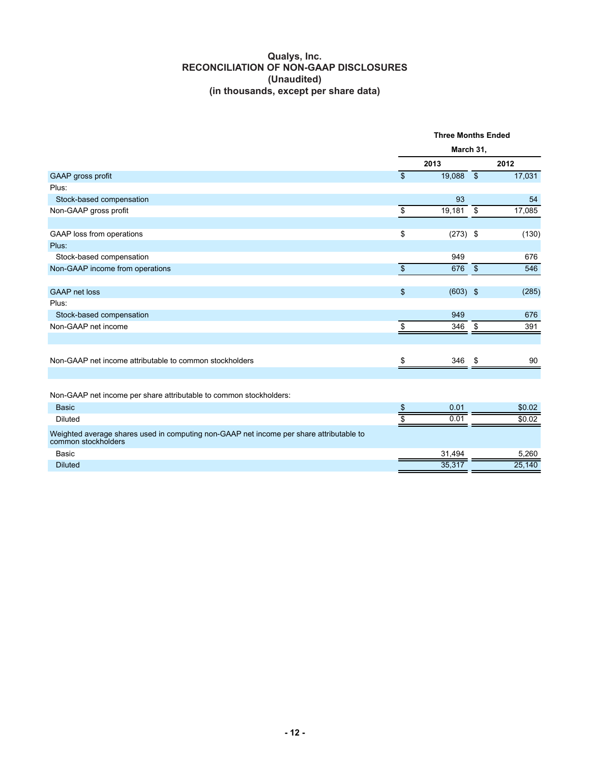## **Qualys, Inc. RECONCILIATION OF NON-GAAP DISCLOSURES (Unaudited) (in thousands, except per share data)**

|                                                                                                                | <b>Three Months Ended</b> |                  |                    |        |
|----------------------------------------------------------------------------------------------------------------|---------------------------|------------------|--------------------|--------|
|                                                                                                                | March 31,                 |                  |                    |        |
|                                                                                                                | 2013                      |                  |                    | 2012   |
| GAAP gross profit                                                                                              | $\mathbf{s}$              | 19,088 \$        |                    | 17,031 |
| Plus:                                                                                                          |                           |                  |                    |        |
| Stock-based compensation                                                                                       |                           | 93               |                    | 54     |
| Non-GAAP gross profit                                                                                          | \$                        | 19,181           | \$                 | 17,085 |
| GAAP loss from operations                                                                                      | \$                        | $(273)$ \$       |                    | (130)  |
| Plus:                                                                                                          |                           |                  |                    |        |
| Stock-based compensation                                                                                       |                           | 949              |                    | 676    |
| Non-GAAP income from operations                                                                                | $\overline{\$}$           | 676              | $\mathbf{\hat{S}}$ | 546    |
|                                                                                                                |                           |                  |                    |        |
| <b>GAAP</b> net loss                                                                                           | \$                        | $(603)$ \$       |                    | (285)  |
| Plus:                                                                                                          |                           |                  |                    |        |
| Stock-based compensation                                                                                       |                           | 949              |                    | 676    |
| Non-GAAP net income                                                                                            | \$                        | 346              | \$                 | 391    |
|                                                                                                                |                           |                  |                    |        |
| Non-GAAP net income attributable to common stockholders                                                        | \$                        | 346              | \$.                | 90     |
|                                                                                                                |                           |                  |                    |        |
| Non-GAAP net income per share attributable to common stockholders:                                             |                           |                  |                    |        |
| <b>Basic</b>                                                                                                   | \$                        | 0.01             |                    | \$0.02 |
| <b>Diluted</b>                                                                                                 |                           | 0.0 <sup>1</sup> |                    | \$0.02 |
| Weighted average shares used in computing non-GAAP net income per share attributable to<br>common stockholders |                           |                  |                    |        |
| Basic                                                                                                          |                           | 31,494           |                    | 5,260  |
| <b>Diluted</b>                                                                                                 |                           | 35,317           |                    | 25,140 |